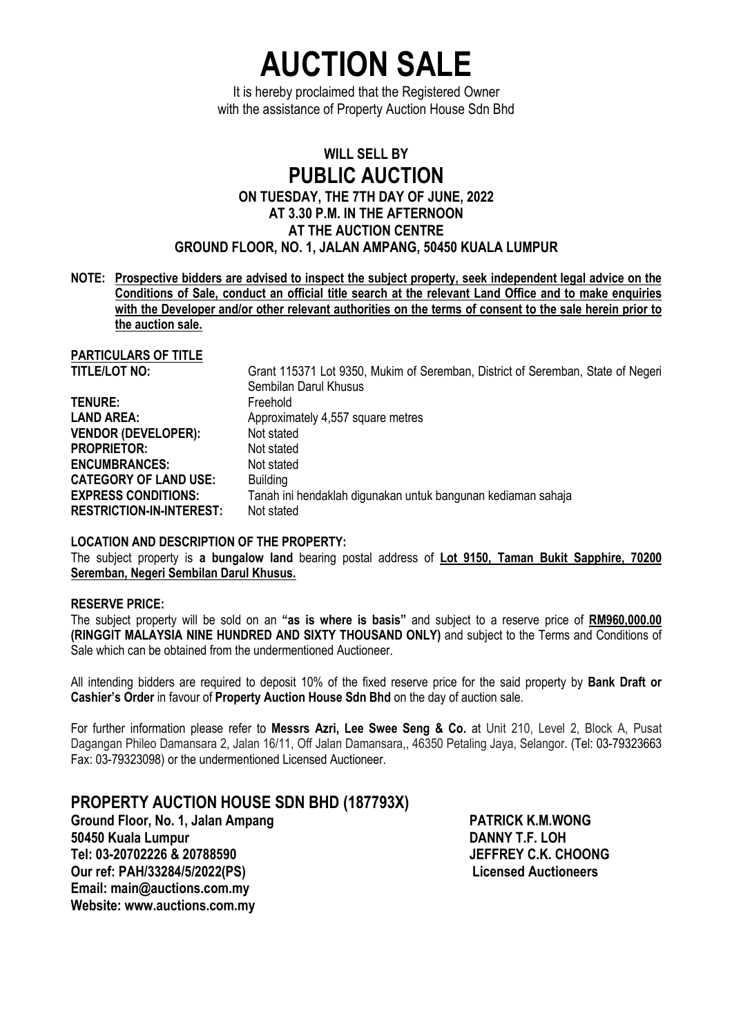**AUCTION SALE** 

It is hereby proclaimed that the Registered Owner with the assistance of Property Auction House Sdn Bhd

## **WILL SELL BY PUBLIC AUCTION ON TUESDAY, THE 7TH DAY OF JUNE, 2022 AT 3.30 P.M. IN THE AFTERNOON AT THE AUCTION CENTRE GROUND FLOOR, NO. 1, JALAN AMPANG, 50450 KUALA LUMPUR**

**NOTE: Prospective bidders are advised to inspect the subject property, seek independent legal advice on the Conditions of Sale, conduct an official title search at the relevant Land Office and to make enquiries with the Developer and/or other relevant authorities on the terms of consent to the sale herein prior to the auction sale.** 

**PARTICULARS OF TITLE**

Grant 115371 Lot 9350, Mukim of Seremban, District of Seremban, State of Negeri Sembilan Darul Khusus **TENURE:** Freehold **LAND AREA:** Approximately 4,557 square metres **VENDOR (DEVELOPER):** Not stated **PROPRIETOR:** Not stated **ENCUMBRANCES:** Not stated **CATEGORY OF LAND USE:** Building **EXPRESS CONDITIONS:** Tanah ini hendaklah digunakan untuk bangunan kediaman sahaja **RESTRICTION-IN-INTEREST:** Not stated

#### **LOCATION AND DESCRIPTION OF THE PROPERTY:**

The subject property is **a bungalow land** bearing postal address of **Lot 9150, Taman Bukit Sapphire, 70200 Seremban, Negeri Sembilan Darul Khusus.**

### **RESERVE PRICE:**

The subject property will be sold on an **"as is where is basis"** and subject to a reserve price of **RM960,000.00 (RINGGIT MALAYSIA NINE HUNDRED AND SIXTY THOUSAND ONLY)** and subject to the Terms and Conditions of Sale which can be obtained from the undermentioned Auctioneer.

All intending bidders are required to deposit 10% of the fixed reserve price for the said property by **Bank Draft or Cashier's Order** in favour of **Property Auction House Sdn Bhd** on the day of auction sale.

For further information please refer to **Messrs Azri, Lee Swee Seng & Co.** at Unit 210, Level 2, Block A, Pusat Dagangan Phileo Damansara 2, Jalan 16/11, Off Jalan Damansara,, 46350 Petaling Jaya, Selangor. (Tel: 03-79323663 Fax: 03-79323098) or the undermentioned Licensed Auctioneer.

## **PROPERTY AUCTION HOUSE SDN BHD (187793X)**

Ground Floor, No. 1, Jalan Ampang **PATRICK K.M.WONG 50450 Kuala Lumpur DANNY T.F. LOH**  Tel: 03-20702226 & 20788590 **Our ref: PAH/33284/5/2022(PS)** Licensed Auctioneers **Licensed Auctioneers Email: main@auctions.com.my Website: www.auctions.com.my**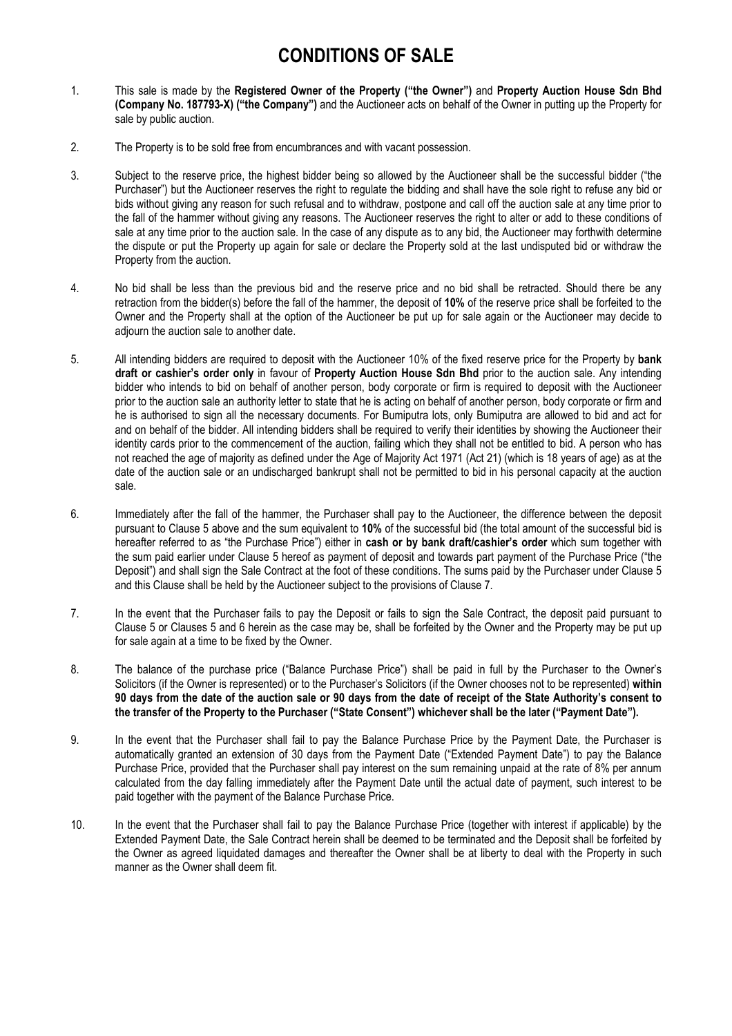# **CONDITIONS OF SALE**

- 1. This sale is made by the **Registered Owner of the Property ("the Owner")** and **Property Auction House Sdn Bhd (Company No. 187793-X) ("the Company")** and the Auctioneer acts on behalf of the Owner in putting up the Property for sale by public auction.
- 2. The Property is to be sold free from encumbrances and with vacant possession.
- 3. Subject to the reserve price, the highest bidder being so allowed by the Auctioneer shall be the successful bidder ("the Purchaser") but the Auctioneer reserves the right to regulate the bidding and shall have the sole right to refuse any bid or bids without giving any reason for such refusal and to withdraw, postpone and call off the auction sale at any time prior to the fall of the hammer without giving any reasons. The Auctioneer reserves the right to alter or add to these conditions of sale at any time prior to the auction sale. In the case of any dispute as to any bid, the Auctioneer may forthwith determine the dispute or put the Property up again for sale or declare the Property sold at the last undisputed bid or withdraw the Property from the auction.
- 4. No bid shall be less than the previous bid and the reserve price and no bid shall be retracted. Should there be any retraction from the bidder(s) before the fall of the hammer, the deposit of **10%** of the reserve price shall be forfeited to the Owner and the Property shall at the option of the Auctioneer be put up for sale again or the Auctioneer may decide to adjourn the auction sale to another date.
- 5. All intending bidders are required to deposit with the Auctioneer 10% of the fixed reserve price for the Property by **bank draft or cashier's order only** in favour of **Property Auction House Sdn Bhd** prior to the auction sale. Any intending bidder who intends to bid on behalf of another person, body corporate or firm is required to deposit with the Auctioneer prior to the auction sale an authority letter to state that he is acting on behalf of another person, body corporate or firm and he is authorised to sign all the necessary documents. For Bumiputra lots, only Bumiputra are allowed to bid and act for and on behalf of the bidder. All intending bidders shall be required to verify their identities by showing the Auctioneer their identity cards prior to the commencement of the auction, failing which they shall not be entitled to bid. A person who has not reached the age of majority as defined under the Age of Majority Act 1971 (Act 21) (which is 18 years of age) as at the date of the auction sale or an undischarged bankrupt shall not be permitted to bid in his personal capacity at the auction sale.
- 6. Immediately after the fall of the hammer, the Purchaser shall pay to the Auctioneer, the difference between the deposit pursuant to Clause 5 above and the sum equivalent to **10%** of the successful bid (the total amount of the successful bid is hereafter referred to as "the Purchase Price") either in **cash or by bank draft/cashier's order** which sum together with the sum paid earlier under Clause 5 hereof as payment of deposit and towards part payment of the Purchase Price ("the Deposit") and shall sign the Sale Contract at the foot of these conditions. The sums paid by the Purchaser under Clause 5 and this Clause shall be held by the Auctioneer subject to the provisions of Clause 7.
- 7. In the event that the Purchaser fails to pay the Deposit or fails to sign the Sale Contract, the deposit paid pursuant to Clause 5 or Clauses 5 and 6 herein as the case may be, shall be forfeited by the Owner and the Property may be put up for sale again at a time to be fixed by the Owner.
- 8. The balance of the purchase price ("Balance Purchase Price") shall be paid in full by the Purchaser to the Owner's Solicitors (if the Owner is represented) or to the Purchaser's Solicitors (if the Owner chooses not to be represented) **within 90 days from the date of the auction sale or 90 days from the date of receipt of the State Authority's consent to the transfer of the Property to the Purchaser ("State Consent") whichever shall be the later ("Payment Date").**
- 9. In the event that the Purchaser shall fail to pay the Balance Purchase Price by the Payment Date, the Purchaser is automatically granted an extension of 30 days from the Payment Date ("Extended Payment Date") to pay the Balance Purchase Price, provided that the Purchaser shall pay interest on the sum remaining unpaid at the rate of 8% per annum calculated from the day falling immediately after the Payment Date until the actual date of payment, such interest to be paid together with the payment of the Balance Purchase Price.
- 10. In the event that the Purchaser shall fail to pay the Balance Purchase Price (together with interest if applicable) by the Extended Payment Date, the Sale Contract herein shall be deemed to be terminated and the Deposit shall be forfeited by the Owner as agreed liquidated damages and thereafter the Owner shall be at liberty to deal with the Property in such manner as the Owner shall deem fit.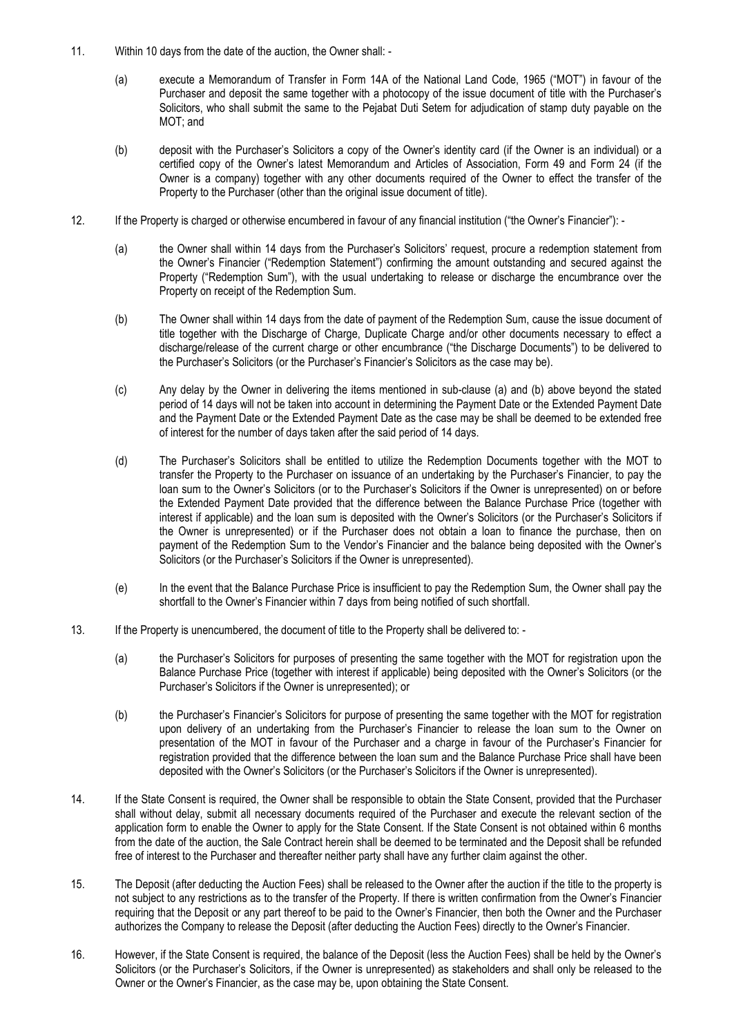- 11. Within 10 days from the date of the auction, the Owner shall:
	- (a) execute a Memorandum of Transfer in Form 14A of the National Land Code, 1965 ("MOT") in favour of the Purchaser and deposit the same together with a photocopy of the issue document of title with the Purchaser's Solicitors, who shall submit the same to the Pejabat Duti Setem for adjudication of stamp duty payable on the MOT; and
	- (b) deposit with the Purchaser's Solicitors a copy of the Owner's identity card (if the Owner is an individual) or a certified copy of the Owner's latest Memorandum and Articles of Association, Form 49 and Form 24 (if the Owner is a company) together with any other documents required of the Owner to effect the transfer of the Property to the Purchaser (other than the original issue document of title).
- 12. If the Property is charged or otherwise encumbered in favour of any financial institution ("the Owner's Financier"):
	- (a) the Owner shall within 14 days from the Purchaser's Solicitors' request, procure a redemption statement from the Owner's Financier ("Redemption Statement") confirming the amount outstanding and secured against the Property ("Redemption Sum"), with the usual undertaking to release or discharge the encumbrance over the Property on receipt of the Redemption Sum.
	- (b) The Owner shall within 14 days from the date of payment of the Redemption Sum, cause the issue document of title together with the Discharge of Charge, Duplicate Charge and/or other documents necessary to effect a discharge/release of the current charge or other encumbrance ("the Discharge Documents") to be delivered to the Purchaser's Solicitors (or the Purchaser's Financier's Solicitors as the case may be).
	- (c) Any delay by the Owner in delivering the items mentioned in sub-clause (a) and (b) above beyond the stated period of 14 days will not be taken into account in determining the Payment Date or the Extended Payment Date and the Payment Date or the Extended Payment Date as the case may be shall be deemed to be extended free of interest for the number of days taken after the said period of 14 days.
	- (d) The Purchaser's Solicitors shall be entitled to utilize the Redemption Documents together with the MOT to transfer the Property to the Purchaser on issuance of an undertaking by the Purchaser's Financier, to pay the loan sum to the Owner's Solicitors (or to the Purchaser's Solicitors if the Owner is unrepresented) on or before the Extended Payment Date provided that the difference between the Balance Purchase Price (together with interest if applicable) and the loan sum is deposited with the Owner's Solicitors (or the Purchaser's Solicitors if the Owner is unrepresented) or if the Purchaser does not obtain a loan to finance the purchase, then on payment of the Redemption Sum to the Vendor's Financier and the balance being deposited with the Owner's Solicitors (or the Purchaser's Solicitors if the Owner is unrepresented).
	- (e) In the event that the Balance Purchase Price is insufficient to pay the Redemption Sum, the Owner shall pay the shortfall to the Owner's Financier within 7 days from being notified of such shortfall.
- 13. If the Property is unencumbered, the document of title to the Property shall be delivered to:
	- (a) the Purchaser's Solicitors for purposes of presenting the same together with the MOT for registration upon the Balance Purchase Price (together with interest if applicable) being deposited with the Owner's Solicitors (or the Purchaser's Solicitors if the Owner is unrepresented); or
	- (b) the Purchaser's Financier's Solicitors for purpose of presenting the same together with the MOT for registration upon delivery of an undertaking from the Purchaser's Financier to release the loan sum to the Owner on presentation of the MOT in favour of the Purchaser and a charge in favour of the Purchaser's Financier for registration provided that the difference between the loan sum and the Balance Purchase Price shall have been deposited with the Owner's Solicitors (or the Purchaser's Solicitors if the Owner is unrepresented).
- 14. If the State Consent is required, the Owner shall be responsible to obtain the State Consent, provided that the Purchaser shall without delay, submit all necessary documents required of the Purchaser and execute the relevant section of the application form to enable the Owner to apply for the State Consent. If the State Consent is not obtained within 6 months from the date of the auction, the Sale Contract herein shall be deemed to be terminated and the Deposit shall be refunded free of interest to the Purchaser and thereafter neither party shall have any further claim against the other.
- 15. The Deposit (after deducting the Auction Fees) shall be released to the Owner after the auction if the title to the property is not subject to any restrictions as to the transfer of the Property. If there is written confirmation from the Owner's Financier requiring that the Deposit or any part thereof to be paid to the Owner's Financier, then both the Owner and the Purchaser authorizes the Company to release the Deposit (after deducting the Auction Fees) directly to the Owner's Financier.
- 16. However, if the State Consent is required, the balance of the Deposit (less the Auction Fees) shall be held by the Owner's Solicitors (or the Purchaser's Solicitors, if the Owner is unrepresented) as stakeholders and shall only be released to the Owner or the Owner's Financier, as the case may be, upon obtaining the State Consent.